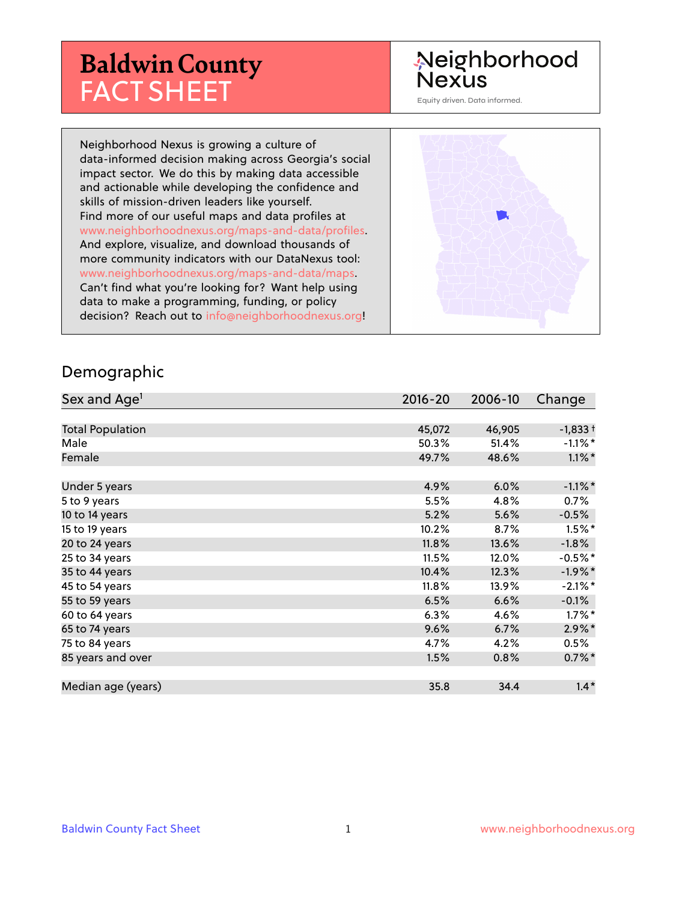# **Baldwin County** FACT SHEET

## Neighborhood **Nexus**

Equity driven. Data informed.

Neighborhood Nexus is growing a culture of data-informed decision making across Georgia's social impact sector. We do this by making data accessible and actionable while developing the confidence and skills of mission-driven leaders like yourself. Find more of our useful maps and data profiles at www.neighborhoodnexus.org/maps-and-data/profiles. And explore, visualize, and download thousands of more community indicators with our DataNexus tool: www.neighborhoodnexus.org/maps-and-data/maps. Can't find what you're looking for? Want help using data to make a programming, funding, or policy decision? Reach out to [info@neighborhoodnexus.org!](mailto:info@neighborhoodnexus.org)



#### Demographic

| Sex and Age <sup>1</sup> | $2016 - 20$ | 2006-10 | Change     |
|--------------------------|-------------|---------|------------|
|                          |             |         |            |
| <b>Total Population</b>  | 45,072      | 46,905  | $-1,833+$  |
| Male                     | 50.3%       | 51.4%   | $-1.1\%$ * |
| Female                   | 49.7%       | 48.6%   | $1.1\%$ *  |
|                          |             |         |            |
| Under 5 years            | 4.9%        | 6.0%    | $-1.1\%$ * |
| 5 to 9 years             | 5.5%        | 4.8%    | $0.7\%$    |
| 10 to 14 years           | 5.2%        | 5.6%    | $-0.5%$    |
| 15 to 19 years           | 10.2%       | 8.7%    | $1.5\%$ *  |
| 20 to 24 years           | 11.8%       | 13.6%   | $-1.8%$    |
| 25 to 34 years           | 11.5%       | 12.0%   | $-0.5%$ *  |
| 35 to 44 years           | 10.4%       | 12.3%   | $-1.9%$ *  |
| 45 to 54 years           | 11.8%       | 13.9%   | $-2.1\%$ * |
| 55 to 59 years           | 6.5%        | 6.6%    | $-0.1%$    |
| 60 to 64 years           | 6.3%        | 4.6%    | $1.7\%$ *  |
| 65 to 74 years           | 9.6%        | 6.7%    | $2.9\%$ *  |
| 75 to 84 years           | 4.7%        | 4.2%    | $0.5\%$    |
| 85 years and over        | 1.5%        | 0.8%    | $0.7\%$ *  |
|                          |             |         |            |
| Median age (years)       | 35.8        | 34.4    | $1.4*$     |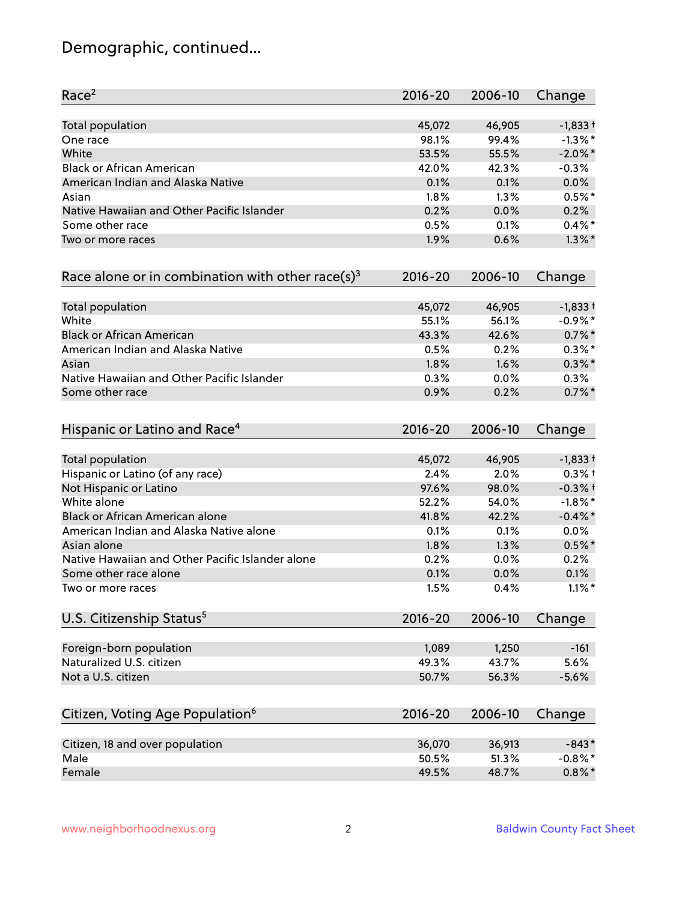## Demographic, continued...

| Race <sup>2</sup>                                   | $2016 - 20$ | 2006-10 | Change     |
|-----------------------------------------------------|-------------|---------|------------|
| <b>Total population</b>                             | 45,072      | 46,905  | $-1,833+$  |
| One race                                            | 98.1%       | 99.4%   | $-1.3\%$ * |
| White                                               | 53.5%       | 55.5%   | $-2.0\%$ * |
| <b>Black or African American</b>                    | 42.0%       | 42.3%   | $-0.3%$    |
| American Indian and Alaska Native                   | 0.1%        | 0.1%    | 0.0%       |
| Asian                                               | 1.8%        | 1.3%    | $0.5%$ *   |
| Native Hawaiian and Other Pacific Islander          | 0.2%        | 0.0%    | 0.2%       |
| Some other race                                     | 0.5%        | 0.1%    | $0.4%$ *   |
| Two or more races                                   | 1.9%        | 0.6%    | $1.3\%$ *  |
| Race alone or in combination with other race(s) $3$ | $2016 - 20$ | 2006-10 | Change     |
| Total population                                    | 45,072      | 46,905  | $-1,833+$  |
| White                                               | 55.1%       | 56.1%   | $-0.9%$ *  |
| <b>Black or African American</b>                    | 43.3%       | 42.6%   | $0.7\%$ *  |
| American Indian and Alaska Native                   | 0.5%        | 0.2%    | $0.3\%$ *  |
| Asian                                               | 1.8%        | 1.6%    | $0.3\%$ *  |
| Native Hawaiian and Other Pacific Islander          | 0.3%        | 0.0%    | 0.3%       |
| Some other race                                     | 0.9%        | 0.2%    | $0.7%$ *   |
| Hispanic or Latino and Race <sup>4</sup>            | $2016 - 20$ | 2006-10 | Change     |
| <b>Total population</b>                             | 45,072      | 46,905  | $-1,833+$  |
| Hispanic or Latino (of any race)                    | 2.4%        | 2.0%    | $0.3%$ +   |
| Not Hispanic or Latino                              | 97.6%       | 98.0%   | $-0.3%$ +  |
| White alone                                         | 52.2%       | 54.0%   | $-1.8\%$ * |
| Black or African American alone                     | 41.8%       | 42.2%   | $-0.4\%$ * |
| American Indian and Alaska Native alone             | 0.1%        | 0.1%    | 0.0%       |
| Asian alone                                         | 1.8%        | 1.3%    | $0.5%$ *   |
| Native Hawaiian and Other Pacific Islander alone    | 0.2%        | 0.0%    | 0.2%       |
| Some other race alone                               | 0.1%        | 0.0%    | 0.1%       |
| Two or more races                                   | 1.5%        | 0.4%    | $1.1\%$ *  |
| U.S. Citizenship Status <sup>5</sup>                | $2016 - 20$ | 2006-10 | Change     |
| Foreign-born population                             | 1,089       | 1,250   | $-161$     |
| Naturalized U.S. citizen                            | 49.3%       | 43.7%   | 5.6%       |
| Not a U.S. citizen                                  | 50.7%       | 56.3%   | $-5.6%$    |
| Citizen, Voting Age Population <sup>6</sup>         | $2016 - 20$ | 2006-10 | Change     |
|                                                     |             |         |            |
| Citizen, 18 and over population                     | 36,070      | 36,913  | $-843*$    |
| Male                                                | 50.5%       | 51.3%   | $-0.8\%$ * |
| Female                                              | 49.5%       | 48.7%   | $0.8\%$ *  |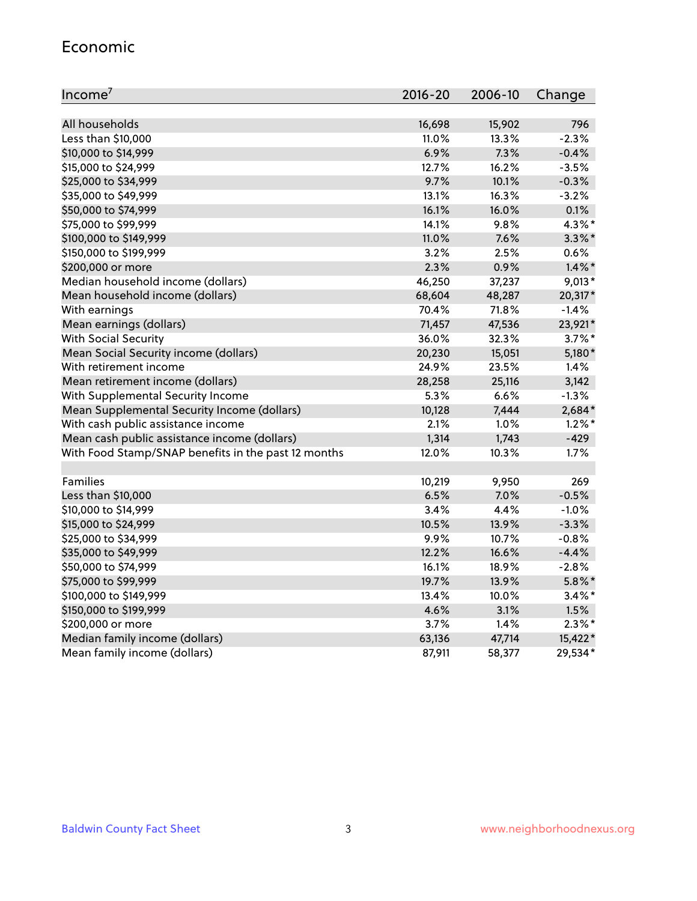#### Economic

| Income <sup>7</sup>                                 | $2016 - 20$ | 2006-10 | Change    |
|-----------------------------------------------------|-------------|---------|-----------|
|                                                     |             |         |           |
| All households                                      | 16,698      | 15,902  | 796       |
| Less than \$10,000                                  | 11.0%       | 13.3%   | $-2.3%$   |
| \$10,000 to \$14,999                                | 6.9%        | 7.3%    | $-0.4%$   |
| \$15,000 to \$24,999                                | 12.7%       | 16.2%   | $-3.5%$   |
| \$25,000 to \$34,999                                | 9.7%        | 10.1%   | $-0.3%$   |
| \$35,000 to \$49,999                                | 13.1%       | 16.3%   | $-3.2%$   |
| \$50,000 to \$74,999                                | 16.1%       | 16.0%   | 0.1%      |
| \$75,000 to \$99,999                                | 14.1%       | 9.8%    | 4.3%*     |
| \$100,000 to \$149,999                              | 11.0%       | 7.6%    | $3.3\%$ * |
| \$150,000 to \$199,999                              | 3.2%        | 2.5%    | 0.6%      |
| \$200,000 or more                                   | 2.3%        | 0.9%    | $1.4\%$ * |
| Median household income (dollars)                   | 46,250      | 37,237  | $9,013*$  |
| Mean household income (dollars)                     | 68,604      | 48,287  | 20,317*   |
| With earnings                                       | 70.4%       | 71.8%   | $-1.4%$   |
| Mean earnings (dollars)                             | 71,457      | 47,536  | 23,921*   |
| <b>With Social Security</b>                         | 36.0%       | 32.3%   | $3.7\%$ * |
| Mean Social Security income (dollars)               | 20,230      | 15,051  | 5,180*    |
| With retirement income                              | 24.9%       | 23.5%   | 1.4%      |
| Mean retirement income (dollars)                    | 28,258      | 25,116  | 3,142     |
| With Supplemental Security Income                   | $5.3\%$     | 6.6%    | $-1.3%$   |
| Mean Supplemental Security Income (dollars)         | 10,128      | 7,444   | $2,684*$  |
| With cash public assistance income                  | 2.1%        | $1.0\%$ | $1.2\%$ * |
| Mean cash public assistance income (dollars)        | 1,314       | 1,743   | $-429$    |
| With Food Stamp/SNAP benefits in the past 12 months | 12.0%       | 10.3%   | 1.7%      |
|                                                     |             |         |           |
| Families                                            | 10,219      | 9,950   | 269       |
| Less than \$10,000                                  | 6.5%        | 7.0%    | $-0.5%$   |
| \$10,000 to \$14,999                                | 3.4%        | 4.4%    | $-1.0%$   |
| \$15,000 to \$24,999                                | 10.5%       | 13.9%   | $-3.3%$   |
| \$25,000 to \$34,999                                | 9.9%        | 10.7%   | $-0.8%$   |
| \$35,000 to \$49,999                                | 12.2%       | 16.6%   | $-4.4%$   |
| \$50,000 to \$74,999                                | 16.1%       | 18.9%   | $-2.8%$   |
| \$75,000 to \$99,999                                | 19.7%       | 13.9%   | $5.8\%$ * |
| \$100,000 to \$149,999                              | 13.4%       | 10.0%   | $3.4\%$ * |
| \$150,000 to \$199,999                              | 4.6%        | 3.1%    | 1.5%      |
| \$200,000 or more                                   | 3.7%        | 1.4%    | $2.3\%$ * |
| Median family income (dollars)                      | 63,136      | 47,714  | 15,422*   |
| Mean family income (dollars)                        | 87,911      | 58,377  | 29,534*   |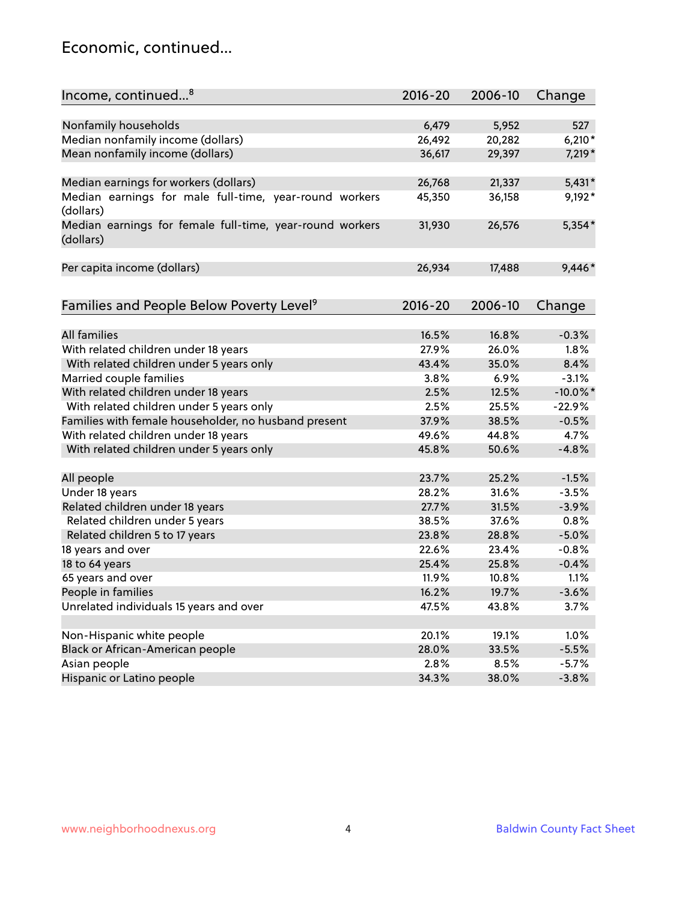### Economic, continued...

| Nonfamily households<br>6,479<br>5,952<br>527<br>Median nonfamily income (dollars)<br>26,492<br>20,282<br>$6,210*$<br>Mean nonfamily income (dollars)<br>36,617<br>29,397<br>7,219*<br>Median earnings for workers (dollars)<br>$5,431*$<br>26,768<br>21,337<br>Median earnings for male full-time, year-round workers<br>9,192*<br>45,350<br>36,158<br>(dollars)<br>Median earnings for female full-time, year-round workers<br>$5,354*$<br>26,576<br>31,930<br>(dollars)<br>9,446*<br>Per capita income (dollars)<br>26,934<br>17,488<br>Families and People Below Poverty Level <sup>9</sup><br>$2016 - 20$<br>2006-10<br>Change<br><b>All families</b><br>16.5%<br>16.8%<br>$-0.3%$<br>With related children under 18 years<br>27.9%<br>26.0%<br>1.8%<br>With related children under 5 years only<br>35.0%<br>8.4%<br>43.4%<br>3.8%<br>$-3.1%$<br>Married couple families<br>6.9%<br>With related children under 18 years<br>12.5%<br>$-10.0\%$ *<br>2.5%<br>With related children under 5 years only<br>2.5%<br>25.5%<br>$-22.9%$<br>Families with female householder, no husband present<br>37.9%<br>38.5%<br>$-0.5%$<br>With related children under 18 years<br>49.6%<br>4.7%<br>44.8%<br>$-4.8%$<br>With related children under 5 years only<br>45.8%<br>50.6%<br>All people<br>23.7%<br>25.2%<br>$-1.5%$<br>Under 18 years<br>28.2%<br>31.6%<br>$-3.5%$<br>Related children under 18 years<br>31.5%<br>$-3.9%$<br>27.7%<br>0.8%<br>Related children under 5 years<br>38.5%<br>37.6%<br>23.8%<br>$-5.0%$<br>Related children 5 to 17 years<br>28.8%<br>18 years and over<br>22.6%<br>23.4%<br>$-0.8%$<br>18 to 64 years<br>25.4%<br>25.8%<br>$-0.4%$<br>65 years and over<br>11.9%<br>10.8%<br>1.1%<br>People in families<br>16.2%<br>19.7%<br>$-3.6%$<br>Unrelated individuals 15 years and over<br>47.5%<br>43.8%<br>3.7% | Income, continued <sup>8</sup> | $2016 - 20$ | 2006-10 | Change |
|-------------------------------------------------------------------------------------------------------------------------------------------------------------------------------------------------------------------------------------------------------------------------------------------------------------------------------------------------------------------------------------------------------------------------------------------------------------------------------------------------------------------------------------------------------------------------------------------------------------------------------------------------------------------------------------------------------------------------------------------------------------------------------------------------------------------------------------------------------------------------------------------------------------------------------------------------------------------------------------------------------------------------------------------------------------------------------------------------------------------------------------------------------------------------------------------------------------------------------------------------------------------------------------------------------------------------------------------------------------------------------------------------------------------------------------------------------------------------------------------------------------------------------------------------------------------------------------------------------------------------------------------------------------------------------------------------------------------------------------------------------------------------------------------------------------------------------------|--------------------------------|-------------|---------|--------|
|                                                                                                                                                                                                                                                                                                                                                                                                                                                                                                                                                                                                                                                                                                                                                                                                                                                                                                                                                                                                                                                                                                                                                                                                                                                                                                                                                                                                                                                                                                                                                                                                                                                                                                                                                                                                                                     |                                |             |         |        |
|                                                                                                                                                                                                                                                                                                                                                                                                                                                                                                                                                                                                                                                                                                                                                                                                                                                                                                                                                                                                                                                                                                                                                                                                                                                                                                                                                                                                                                                                                                                                                                                                                                                                                                                                                                                                                                     |                                |             |         |        |
|                                                                                                                                                                                                                                                                                                                                                                                                                                                                                                                                                                                                                                                                                                                                                                                                                                                                                                                                                                                                                                                                                                                                                                                                                                                                                                                                                                                                                                                                                                                                                                                                                                                                                                                                                                                                                                     |                                |             |         |        |
|                                                                                                                                                                                                                                                                                                                                                                                                                                                                                                                                                                                                                                                                                                                                                                                                                                                                                                                                                                                                                                                                                                                                                                                                                                                                                                                                                                                                                                                                                                                                                                                                                                                                                                                                                                                                                                     |                                |             |         |        |
|                                                                                                                                                                                                                                                                                                                                                                                                                                                                                                                                                                                                                                                                                                                                                                                                                                                                                                                                                                                                                                                                                                                                                                                                                                                                                                                                                                                                                                                                                                                                                                                                                                                                                                                                                                                                                                     |                                |             |         |        |
|                                                                                                                                                                                                                                                                                                                                                                                                                                                                                                                                                                                                                                                                                                                                                                                                                                                                                                                                                                                                                                                                                                                                                                                                                                                                                                                                                                                                                                                                                                                                                                                                                                                                                                                                                                                                                                     |                                |             |         |        |
|                                                                                                                                                                                                                                                                                                                                                                                                                                                                                                                                                                                                                                                                                                                                                                                                                                                                                                                                                                                                                                                                                                                                                                                                                                                                                                                                                                                                                                                                                                                                                                                                                                                                                                                                                                                                                                     |                                |             |         |        |
|                                                                                                                                                                                                                                                                                                                                                                                                                                                                                                                                                                                                                                                                                                                                                                                                                                                                                                                                                                                                                                                                                                                                                                                                                                                                                                                                                                                                                                                                                                                                                                                                                                                                                                                                                                                                                                     |                                |             |         |        |
|                                                                                                                                                                                                                                                                                                                                                                                                                                                                                                                                                                                                                                                                                                                                                                                                                                                                                                                                                                                                                                                                                                                                                                                                                                                                                                                                                                                                                                                                                                                                                                                                                                                                                                                                                                                                                                     |                                |             |         |        |
|                                                                                                                                                                                                                                                                                                                                                                                                                                                                                                                                                                                                                                                                                                                                                                                                                                                                                                                                                                                                                                                                                                                                                                                                                                                                                                                                                                                                                                                                                                                                                                                                                                                                                                                                                                                                                                     |                                |             |         |        |
|                                                                                                                                                                                                                                                                                                                                                                                                                                                                                                                                                                                                                                                                                                                                                                                                                                                                                                                                                                                                                                                                                                                                                                                                                                                                                                                                                                                                                                                                                                                                                                                                                                                                                                                                                                                                                                     |                                |             |         |        |
|                                                                                                                                                                                                                                                                                                                                                                                                                                                                                                                                                                                                                                                                                                                                                                                                                                                                                                                                                                                                                                                                                                                                                                                                                                                                                                                                                                                                                                                                                                                                                                                                                                                                                                                                                                                                                                     |                                |             |         |        |
|                                                                                                                                                                                                                                                                                                                                                                                                                                                                                                                                                                                                                                                                                                                                                                                                                                                                                                                                                                                                                                                                                                                                                                                                                                                                                                                                                                                                                                                                                                                                                                                                                                                                                                                                                                                                                                     |                                |             |         |        |
|                                                                                                                                                                                                                                                                                                                                                                                                                                                                                                                                                                                                                                                                                                                                                                                                                                                                                                                                                                                                                                                                                                                                                                                                                                                                                                                                                                                                                                                                                                                                                                                                                                                                                                                                                                                                                                     |                                |             |         |        |
|                                                                                                                                                                                                                                                                                                                                                                                                                                                                                                                                                                                                                                                                                                                                                                                                                                                                                                                                                                                                                                                                                                                                                                                                                                                                                                                                                                                                                                                                                                                                                                                                                                                                                                                                                                                                                                     |                                |             |         |        |
|                                                                                                                                                                                                                                                                                                                                                                                                                                                                                                                                                                                                                                                                                                                                                                                                                                                                                                                                                                                                                                                                                                                                                                                                                                                                                                                                                                                                                                                                                                                                                                                                                                                                                                                                                                                                                                     |                                |             |         |        |
|                                                                                                                                                                                                                                                                                                                                                                                                                                                                                                                                                                                                                                                                                                                                                                                                                                                                                                                                                                                                                                                                                                                                                                                                                                                                                                                                                                                                                                                                                                                                                                                                                                                                                                                                                                                                                                     |                                |             |         |        |
|                                                                                                                                                                                                                                                                                                                                                                                                                                                                                                                                                                                                                                                                                                                                                                                                                                                                                                                                                                                                                                                                                                                                                                                                                                                                                                                                                                                                                                                                                                                                                                                                                                                                                                                                                                                                                                     |                                |             |         |        |
|                                                                                                                                                                                                                                                                                                                                                                                                                                                                                                                                                                                                                                                                                                                                                                                                                                                                                                                                                                                                                                                                                                                                                                                                                                                                                                                                                                                                                                                                                                                                                                                                                                                                                                                                                                                                                                     |                                |             |         |        |
|                                                                                                                                                                                                                                                                                                                                                                                                                                                                                                                                                                                                                                                                                                                                                                                                                                                                                                                                                                                                                                                                                                                                                                                                                                                                                                                                                                                                                                                                                                                                                                                                                                                                                                                                                                                                                                     |                                |             |         |        |
|                                                                                                                                                                                                                                                                                                                                                                                                                                                                                                                                                                                                                                                                                                                                                                                                                                                                                                                                                                                                                                                                                                                                                                                                                                                                                                                                                                                                                                                                                                                                                                                                                                                                                                                                                                                                                                     |                                |             |         |        |
|                                                                                                                                                                                                                                                                                                                                                                                                                                                                                                                                                                                                                                                                                                                                                                                                                                                                                                                                                                                                                                                                                                                                                                                                                                                                                                                                                                                                                                                                                                                                                                                                                                                                                                                                                                                                                                     |                                |             |         |        |
|                                                                                                                                                                                                                                                                                                                                                                                                                                                                                                                                                                                                                                                                                                                                                                                                                                                                                                                                                                                                                                                                                                                                                                                                                                                                                                                                                                                                                                                                                                                                                                                                                                                                                                                                                                                                                                     |                                |             |         |        |
|                                                                                                                                                                                                                                                                                                                                                                                                                                                                                                                                                                                                                                                                                                                                                                                                                                                                                                                                                                                                                                                                                                                                                                                                                                                                                                                                                                                                                                                                                                                                                                                                                                                                                                                                                                                                                                     |                                |             |         |        |
|                                                                                                                                                                                                                                                                                                                                                                                                                                                                                                                                                                                                                                                                                                                                                                                                                                                                                                                                                                                                                                                                                                                                                                                                                                                                                                                                                                                                                                                                                                                                                                                                                                                                                                                                                                                                                                     |                                |             |         |        |
|                                                                                                                                                                                                                                                                                                                                                                                                                                                                                                                                                                                                                                                                                                                                                                                                                                                                                                                                                                                                                                                                                                                                                                                                                                                                                                                                                                                                                                                                                                                                                                                                                                                                                                                                                                                                                                     |                                |             |         |        |
|                                                                                                                                                                                                                                                                                                                                                                                                                                                                                                                                                                                                                                                                                                                                                                                                                                                                                                                                                                                                                                                                                                                                                                                                                                                                                                                                                                                                                                                                                                                                                                                                                                                                                                                                                                                                                                     |                                |             |         |        |
|                                                                                                                                                                                                                                                                                                                                                                                                                                                                                                                                                                                                                                                                                                                                                                                                                                                                                                                                                                                                                                                                                                                                                                                                                                                                                                                                                                                                                                                                                                                                                                                                                                                                                                                                                                                                                                     |                                |             |         |        |
|                                                                                                                                                                                                                                                                                                                                                                                                                                                                                                                                                                                                                                                                                                                                                                                                                                                                                                                                                                                                                                                                                                                                                                                                                                                                                                                                                                                                                                                                                                                                                                                                                                                                                                                                                                                                                                     |                                |             |         |        |
|                                                                                                                                                                                                                                                                                                                                                                                                                                                                                                                                                                                                                                                                                                                                                                                                                                                                                                                                                                                                                                                                                                                                                                                                                                                                                                                                                                                                                                                                                                                                                                                                                                                                                                                                                                                                                                     |                                |             |         |        |
|                                                                                                                                                                                                                                                                                                                                                                                                                                                                                                                                                                                                                                                                                                                                                                                                                                                                                                                                                                                                                                                                                                                                                                                                                                                                                                                                                                                                                                                                                                                                                                                                                                                                                                                                                                                                                                     |                                |             |         |        |
|                                                                                                                                                                                                                                                                                                                                                                                                                                                                                                                                                                                                                                                                                                                                                                                                                                                                                                                                                                                                                                                                                                                                                                                                                                                                                                                                                                                                                                                                                                                                                                                                                                                                                                                                                                                                                                     |                                |             |         |        |
| Non-Hispanic white people<br>20.1%<br>19.1%<br>1.0%                                                                                                                                                                                                                                                                                                                                                                                                                                                                                                                                                                                                                                                                                                                                                                                                                                                                                                                                                                                                                                                                                                                                                                                                                                                                                                                                                                                                                                                                                                                                                                                                                                                                                                                                                                                 |                                |             |         |        |
| Black or African-American people<br>28.0%<br>33.5%<br>$-5.5%$                                                                                                                                                                                                                                                                                                                                                                                                                                                                                                                                                                                                                                                                                                                                                                                                                                                                                                                                                                                                                                                                                                                                                                                                                                                                                                                                                                                                                                                                                                                                                                                                                                                                                                                                                                       |                                |             |         |        |
| 2.8%<br>Asian people<br>8.5%<br>$-5.7%$                                                                                                                                                                                                                                                                                                                                                                                                                                                                                                                                                                                                                                                                                                                                                                                                                                                                                                                                                                                                                                                                                                                                                                                                                                                                                                                                                                                                                                                                                                                                                                                                                                                                                                                                                                                             |                                |             |         |        |
| Hispanic or Latino people<br>34.3%<br>$-3.8%$<br>38.0%                                                                                                                                                                                                                                                                                                                                                                                                                                                                                                                                                                                                                                                                                                                                                                                                                                                                                                                                                                                                                                                                                                                                                                                                                                                                                                                                                                                                                                                                                                                                                                                                                                                                                                                                                                              |                                |             |         |        |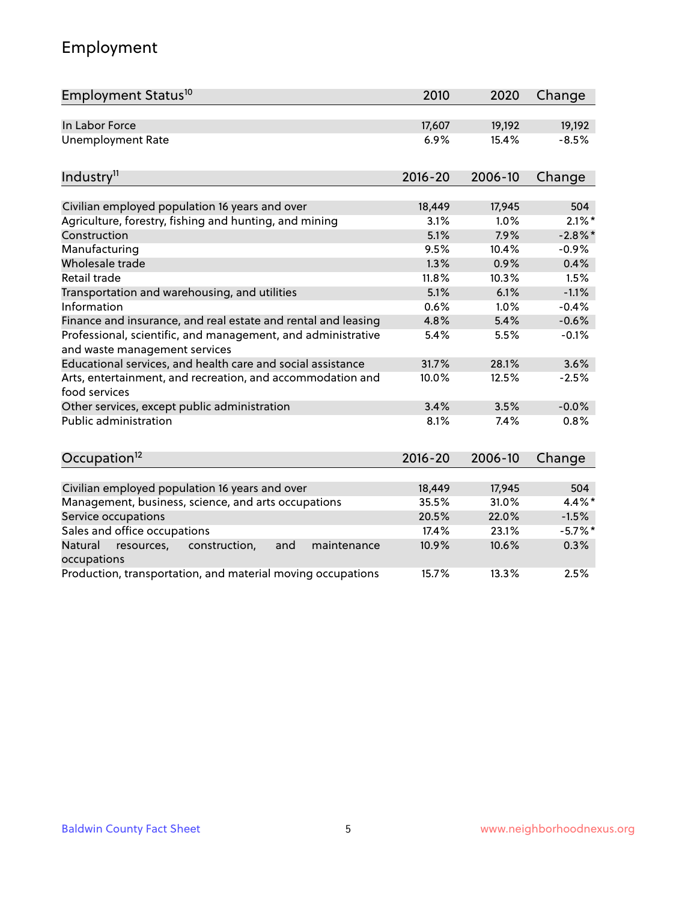## Employment

| Employment Status <sup>10</sup>                                                               | 2010        | 2020    | Change    |
|-----------------------------------------------------------------------------------------------|-------------|---------|-----------|
| In Labor Force                                                                                | 17,607      | 19,192  | 19,192    |
| <b>Unemployment Rate</b>                                                                      | 6.9%        | 15.4%   | $-8.5%$   |
| Industry <sup>11</sup>                                                                        | $2016 - 20$ | 2006-10 | Change    |
| Civilian employed population 16 years and over                                                | 18,449      | 17,945  | 504       |
| Agriculture, forestry, fishing and hunting, and mining                                        | 3.1%        | 1.0%    | $2.1\%$ * |
| Construction                                                                                  | 5.1%        | 7.9%    | $-2.8%$   |
| Manufacturing                                                                                 | 9.5%        | 10.4%   | $-0.9%$   |
| Wholesale trade                                                                               | 1.3%        | 0.9%    | 0.4%      |
| Retail trade                                                                                  | 11.8%       | 10.3%   | 1.5%      |
| Transportation and warehousing, and utilities                                                 | 5.1%        | 6.1%    | $-1.1%$   |
| Information                                                                                   | 0.6%        | 1.0%    | $-0.4%$   |
| Finance and insurance, and real estate and rental and leasing                                 | 4.8%        | 5.4%    | $-0.6%$   |
| Professional, scientific, and management, and administrative<br>and waste management services | 5.4%        | 5.5%    | $-0.1%$   |
| Educational services, and health care and social assistance                                   | 31.7%       | 28.1%   | 3.6%      |
| Arts, entertainment, and recreation, and accommodation and<br>food services                   | 10.0%       | 12.5%   | $-2.5%$   |
| Other services, except public administration                                                  | 3.4%        | 3.5%    | $-0.0%$   |
| Public administration                                                                         | 8.1%        | 7.4%    | 0.8%      |
| Occupation <sup>12</sup>                                                                      | $2016 - 20$ | 2006-10 | Change    |
|                                                                                               |             |         |           |
| Civilian employed population 16 years and over                                                | 18,449      | 17,945  | 504       |
| Management, business, science, and arts occupations                                           | 35.5%       | 31.0%   | 4.4%*     |
| Service occupations                                                                           | 20.5%       | 22.0%   | $-1.5%$   |
| Sales and office occupations                                                                  | 17.4%       | 23.1%   | $-5.7%$ * |
| Natural<br>resources,<br>construction,<br>maintenance<br>and<br>occupations                   | 10.9%       | 10.6%   | 0.3%      |
| Production, transportation, and material moving occupations                                   | 15.7%       | 13.3%   | 2.5%      |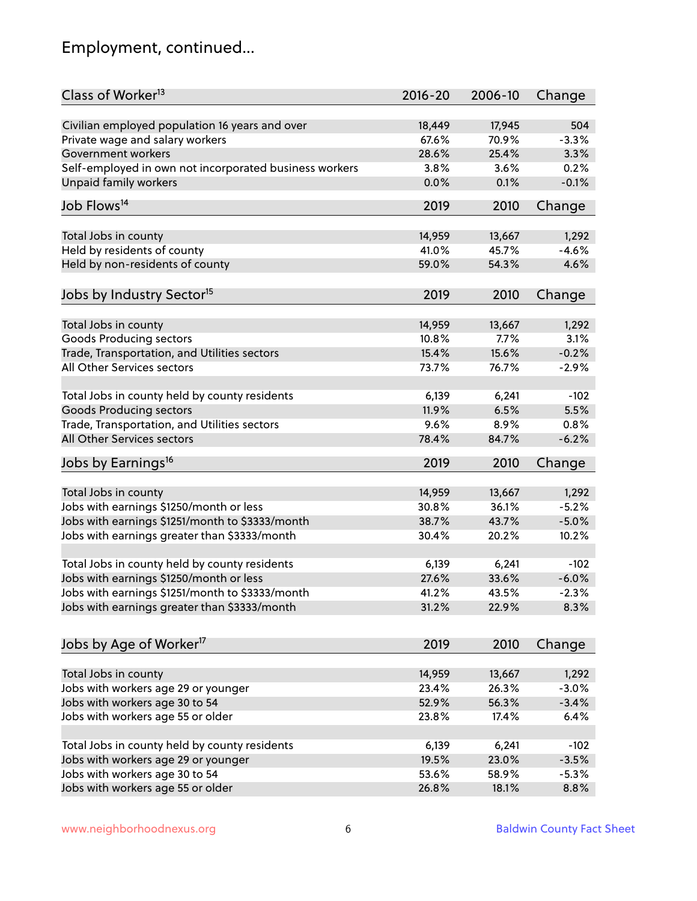## Employment, continued...

| Class of Worker <sup>13</sup>                          | $2016 - 20$ | 2006-10 | Change   |
|--------------------------------------------------------|-------------|---------|----------|
| Civilian employed population 16 years and over         | 18,449      | 17,945  | 504      |
| Private wage and salary workers                        | 67.6%       | 70.9%   | $-3.3%$  |
| Government workers                                     | 28.6%       | 25.4%   | 3.3%     |
| Self-employed in own not incorporated business workers | 3.8%        | 3.6%    | 0.2%     |
| <b>Unpaid family workers</b>                           | 0.0%        | 0.1%    | $-0.1%$  |
|                                                        |             |         |          |
| Job Flows <sup>14</sup>                                | 2019        | 2010    | Change   |
| Total Jobs in county                                   | 14,959      | 13,667  | 1,292    |
| Held by residents of county                            | 41.0%       | 45.7%   | $-4.6%$  |
| Held by non-residents of county                        | 59.0%       | 54.3%   | 4.6%     |
|                                                        |             |         |          |
| Jobs by Industry Sector <sup>15</sup>                  | 2019        | 2010    | Change   |
| Total Jobs in county                                   | 14,959      | 13,667  | 1,292    |
| Goods Producing sectors                                | 10.8%       | 7.7%    | 3.1%     |
| Trade, Transportation, and Utilities sectors           | 15.4%       | 15.6%   | $-0.2%$  |
| All Other Services sectors                             | 73.7%       | 76.7%   | $-2.9%$  |
|                                                        |             |         |          |
| Total Jobs in county held by county residents          | 6,139       | 6,241   | $-102$   |
| <b>Goods Producing sectors</b>                         | 11.9%       | 6.5%    | 5.5%     |
| Trade, Transportation, and Utilities sectors           | 9.6%        | 8.9%    | 0.8%     |
| All Other Services sectors                             | 78.4%       | 84.7%   | $-6.2%$  |
| Jobs by Earnings <sup>16</sup>                         | 2019        | 2010    | Change   |
|                                                        |             |         |          |
| Total Jobs in county                                   | 14,959      | 13,667  | 1,292    |
| Jobs with earnings \$1250/month or less                | 30.8%       | 36.1%   | $-5.2%$  |
| Jobs with earnings \$1251/month to \$3333/month        | 38.7%       | 43.7%   | $-5.0%$  |
| Jobs with earnings greater than \$3333/month           | 30.4%       | 20.2%   | 10.2%    |
|                                                        |             |         |          |
| Total Jobs in county held by county residents          | 6,139       | 6,241   | $-102$   |
| Jobs with earnings \$1250/month or less                | 27.6%       | 33.6%   | $-6.0%$  |
| Jobs with earnings \$1251/month to \$3333/month        | 41.2%       | 43.5%   | $-2.3\%$ |
| Jobs with earnings greater than \$3333/month           | 31.2%       | 22.9%   | 8.3%     |
|                                                        |             |         |          |
| Jobs by Age of Worker <sup>17</sup>                    | 2019        | 2010    | Change   |
|                                                        |             |         |          |
| Total Jobs in county                                   | 14,959      | 13,667  | 1,292    |
| Jobs with workers age 29 or younger                    | 23.4%       | 26.3%   | $-3.0%$  |
| Jobs with workers age 30 to 54                         | 52.9%       | 56.3%   | $-3.4%$  |
| Jobs with workers age 55 or older                      | 23.8%       | 17.4%   | 6.4%     |
| Total Jobs in county held by county residents          | 6,139       | 6,241   | $-102$   |
| Jobs with workers age 29 or younger                    | 19.5%       | 23.0%   | $-3.5%$  |
| Jobs with workers age 30 to 54                         | 53.6%       | 58.9%   | $-5.3%$  |
| Jobs with workers age 55 or older                      | 26.8%       | 18.1%   | 8.8%     |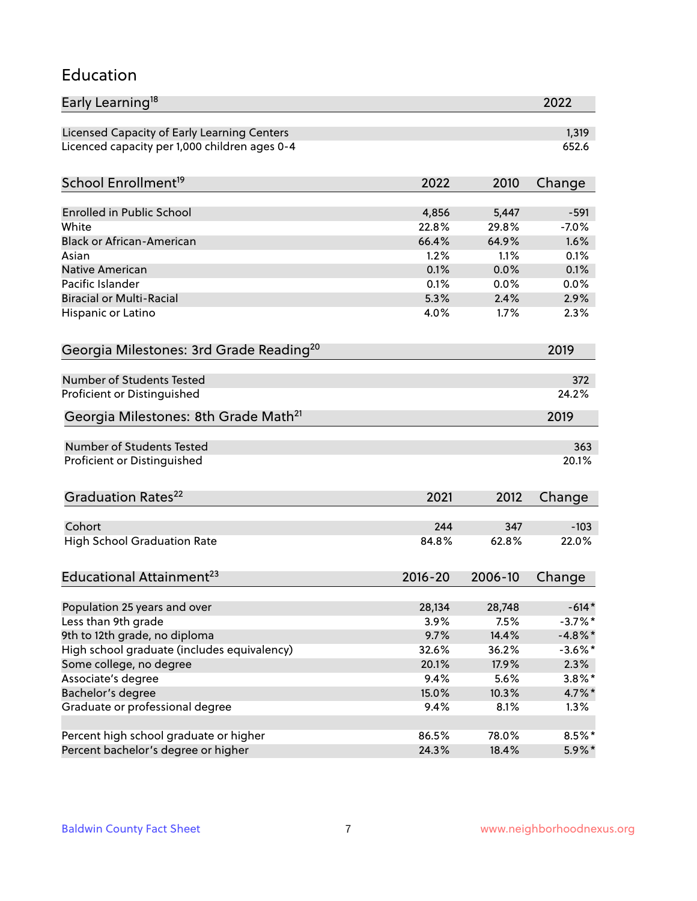#### Education

| Early Learning <sup>18</sup>                        |             |               | 2022                     |
|-----------------------------------------------------|-------------|---------------|--------------------------|
| Licensed Capacity of Early Learning Centers         |             |               | 1,319                    |
| Licenced capacity per 1,000 children ages 0-4       |             |               | 652.6                    |
| School Enrollment <sup>19</sup>                     | 2022        | 2010          | Change                   |
|                                                     |             |               |                          |
| <b>Enrolled in Public School</b>                    | 4,856       | 5,447         | $-591$                   |
| White                                               | 22.8%       | 29.8%         | $-7.0%$                  |
| <b>Black or African-American</b>                    | 66.4%       | 64.9%         | 1.6%                     |
| Asian                                               | 1.2%        | 1.1%          | 0.1%                     |
| Native American                                     | 0.1%        | 0.0%          | 0.1%                     |
| Pacific Islander                                    | 0.1%        | 0.0%          | 0.0%                     |
| <b>Biracial or Multi-Racial</b>                     | 5.3%        | 2.4%          | 2.9%                     |
| Hispanic or Latino                                  | 4.0%        | 1.7%          | 2.3%                     |
| Georgia Milestones: 3rd Grade Reading <sup>20</sup> |             |               | 2019                     |
|                                                     |             |               |                          |
| Number of Students Tested                           |             |               | 372                      |
| Proficient or Distinguished                         |             |               | 24.2%                    |
| Georgia Milestones: 8th Grade Math <sup>21</sup>    |             |               | 2019                     |
| <b>Number of Students Tested</b>                    |             |               | 363                      |
| Proficient or Distinguished                         |             |               | 20.1%                    |
| Graduation Rates <sup>22</sup>                      | 2021        | 2012          | Change                   |
|                                                     |             |               |                          |
| Cohort                                              | 244         | 347           | $-103$                   |
| <b>High School Graduation Rate</b>                  | 84.8%       | 62.8%         | 22.0%                    |
| Educational Attainment <sup>23</sup>                | $2016 - 20$ | 2006-10       | Change                   |
|                                                     |             |               |                          |
| Population 25 years and over                        | 28,134      | 28,748        | $-614*$                  |
| Less than 9th grade                                 | 3.9%        | 7.5%<br>14.4% | $-3.7\%$ *<br>$-4.8\%$ * |
| 9th to 12th grade, no diploma                       | 9.7%        |               |                          |
| High school graduate (includes equivalency)         | 32.6%       | 36.2%         | $-3.6\%$ *               |
| Some college, no degree                             | 20.1%       | 17.9%         | 2.3%                     |
| Associate's degree                                  | 9.4%        | 5.6%          | $3.8\%$ *                |
| Bachelor's degree                                   | 15.0%       | 10.3%         | $4.7\%$ *                |
| Graduate or professional degree                     | 9.4%        | 8.1%          | 1.3%                     |
| Percent high school graduate or higher              | 86.5%       | 78.0%         | $8.5\%$ *                |
| Percent bachelor's degree or higher                 | 24.3%       | 18.4%         | $5.9\%*$                 |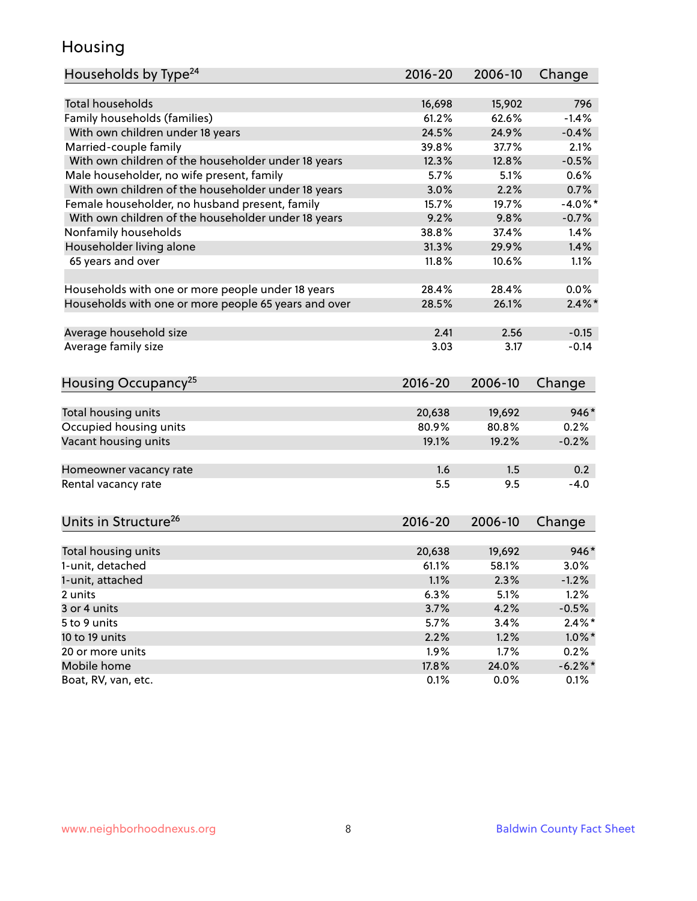### Housing

| Households by Type <sup>24</sup>                     | 2016-20     | 2006-10 | Change     |
|------------------------------------------------------|-------------|---------|------------|
|                                                      |             |         |            |
| Total households                                     | 16,698      | 15,902  | 796        |
| Family households (families)                         | 61.2%       | 62.6%   | $-1.4%$    |
| With own children under 18 years                     | 24.5%       | 24.9%   | $-0.4%$    |
| Married-couple family                                | 39.8%       | 37.7%   | 2.1%       |
| With own children of the householder under 18 years  | 12.3%       | 12.8%   | $-0.5%$    |
| Male householder, no wife present, family            | 5.7%        | 5.1%    | 0.6%       |
| With own children of the householder under 18 years  | 3.0%        | 2.2%    | 0.7%       |
| Female householder, no husband present, family       | 15.7%       | 19.7%   | $-4.0\%$ * |
| With own children of the householder under 18 years  | 9.2%        | 9.8%    | $-0.7%$    |
| Nonfamily households                                 | 38.8%       | 37.4%   | 1.4%       |
| Householder living alone                             | 31.3%       | 29.9%   | 1.4%       |
| 65 years and over                                    | 11.8%       | 10.6%   | 1.1%       |
|                                                      |             |         |            |
| Households with one or more people under 18 years    | 28.4%       | 28.4%   | 0.0%       |
| Households with one or more people 65 years and over | 28.5%       | 26.1%   | $2.4\%$    |
| Average household size                               | 2.41        | 2.56    | $-0.15$    |
| Average family size                                  | 3.03        | 3.17    | $-0.14$    |
|                                                      |             |         |            |
| Housing Occupancy <sup>25</sup>                      | $2016 - 20$ | 2006-10 | Change     |
| Total housing units                                  | 20,638      | 19,692  | 946*       |
| Occupied housing units                               | 80.9%       | 80.8%   | 0.2%       |
| Vacant housing units                                 | 19.1%       | 19.2%   | $-0.2%$    |
|                                                      |             |         |            |
| Homeowner vacancy rate                               | 1.6         | 1.5     | 0.2        |
| Rental vacancy rate                                  | 5.5         | 9.5     | $-4.0$     |
|                                                      |             |         |            |
| Units in Structure <sup>26</sup>                     | 2016-20     | 2006-10 | Change     |
| Total housing units                                  | 20,638      | 19,692  | $946*$     |
| 1-unit, detached                                     | 61.1%       | 58.1%   | 3.0%       |
|                                                      |             |         |            |
| 1-unit, attached                                     | 1.1%        | 2.3%    | $-1.2%$    |
| 2 units                                              | 6.3%        | 5.1%    | 1.2%       |
| 3 or 4 units                                         | 3.7%        | 4.2%    | $-0.5%$    |
| 5 to 9 units                                         | 5.7%        | 3.4%    | $2.4\%$ *  |
| 10 to 19 units                                       | 2.2%        | 1.2%    | $1.0\%$ *  |
| 20 or more units                                     | 1.9%        | 1.7%    | 0.2%       |
| Mobile home                                          | 17.8%       | 24.0%   | $-6.2\%$ * |
| Boat, RV, van, etc.                                  | 0.1%        | 0.0%    | 0.1%       |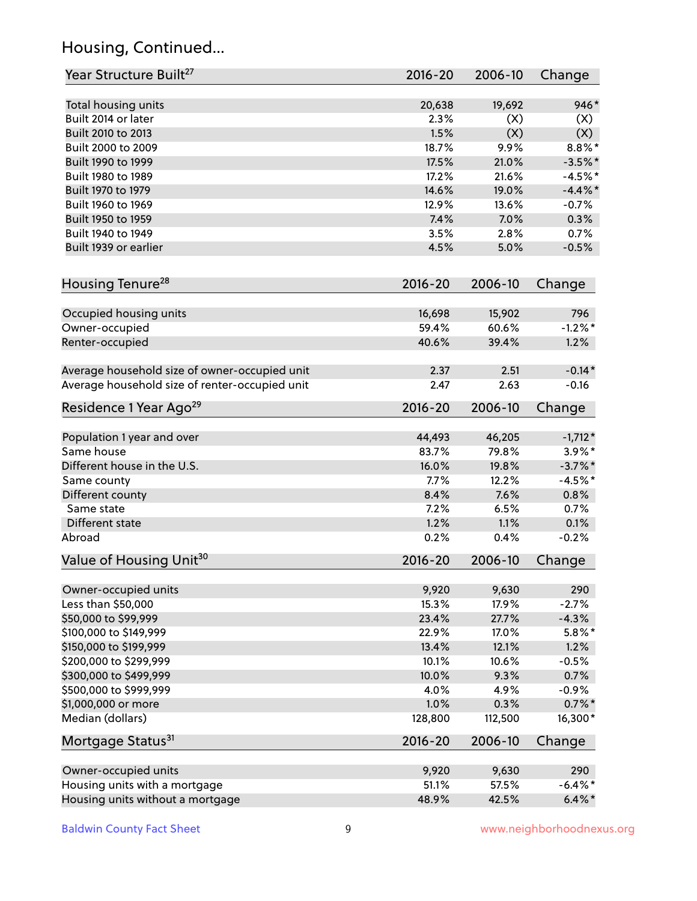## Housing, Continued...

| Year Structure Built <sup>27</sup>             | 2016-20         | 2006-10         | Change           |
|------------------------------------------------|-----------------|-----------------|------------------|
| Total housing units                            | 20,638          | 19,692          | 946*             |
| Built 2014 or later                            | 2.3%            | (X)             | (X)              |
| Built 2010 to 2013                             | 1.5%            | (X)             | (X)              |
| Built 2000 to 2009                             | 18.7%           | 9.9%            | $8.8\%$ *        |
| Built 1990 to 1999                             | 17.5%           | 21.0%           | $-3.5%$ *        |
| Built 1980 to 1989                             | 17.2%           | 21.6%           | $-4.5%$ *        |
| Built 1970 to 1979                             | 14.6%           | 19.0%           | $-4.4\%$ *       |
| Built 1960 to 1969                             | 12.9%           | 13.6%           | $-0.7%$          |
| Built 1950 to 1959                             | 7.4%            | 7.0%            | 0.3%             |
| Built 1940 to 1949                             | 3.5%            | 2.8%            | 0.7%             |
| Built 1939 or earlier                          | 4.5%            | 5.0%            | $-0.5%$          |
| Housing Tenure <sup>28</sup>                   | $2016 - 20$     | 2006-10         | Change           |
|                                                |                 |                 |                  |
| Occupied housing units<br>Owner-occupied       | 16,698<br>59.4% | 15,902<br>60.6% | 796<br>$-1.2%$ * |
| Renter-occupied                                | 40.6%           | 39.4%           | 1.2%             |
|                                                |                 |                 |                  |
| Average household size of owner-occupied unit  | 2.37            | 2.51            | $-0.14*$         |
| Average household size of renter-occupied unit | 2.47            | 2.63            | $-0.16$          |
| Residence 1 Year Ago <sup>29</sup>             | 2016-20         | 2006-10         | Change           |
| Population 1 year and over                     | 44,493          | 46,205          | $-1,712*$        |
| Same house                                     | 83.7%           | 79.8%           | $3.9\%$ *        |
| Different house in the U.S.                    | 16.0%           | 19.8%           | $-3.7\%$ *       |
| Same county                                    | 7.7%            | 12.2%           | $-4.5%$ *        |
| Different county                               | 8.4%            | 7.6%            | 0.8%             |
| Same state                                     | 7.2%            | 6.5%            | 0.7%             |
| Different state                                | 1.2%            | 1.1%            | 0.1%             |
| Abroad                                         | 0.2%            | 0.4%            | $-0.2%$          |
| Value of Housing Unit <sup>30</sup>            | $2016 - 20$     | 2006-10         | Change           |
|                                                |                 |                 |                  |
| Owner-occupied units                           | 9,920           | 9,630           | 290              |
| Less than \$50,000                             | 15.3%           | 17.9%           | $-2.7%$          |
| \$50,000 to \$99,999                           | 23.4%           | 27.7%           | $-4.3%$          |
| \$100,000 to \$149,999                         | 22.9%           | 17.0%           | $5.8\%$ *        |
| \$150,000 to \$199,999                         | 13.4%           | 12.1%           | 1.2%             |
| \$200,000 to \$299,999                         | 10.1%           | 10.6%           | $-0.5%$          |
| \$300,000 to \$499,999                         | 10.0%           | 9.3%            | 0.7%             |
| \$500,000 to \$999,999                         | 4.0%            | 4.9%            | $-0.9%$          |
| \$1,000,000 or more                            | 1.0%            | 0.3%            | $0.7\%$ *        |
| Median (dollars)                               | 128,800         | 112,500         | 16,300*          |
| Mortgage Status <sup>31</sup>                  | $2016 - 20$     | 2006-10         | Change           |
| Owner-occupied units                           | 9,920           | 9,630           | 290              |
| Housing units with a mortgage                  | 51.1%           | 57.5%           | $-6.4\%$ *       |
| Housing units without a mortgage               | 48.9%           | 42.5%           | $6.4\%$ *        |
|                                                |                 |                 |                  |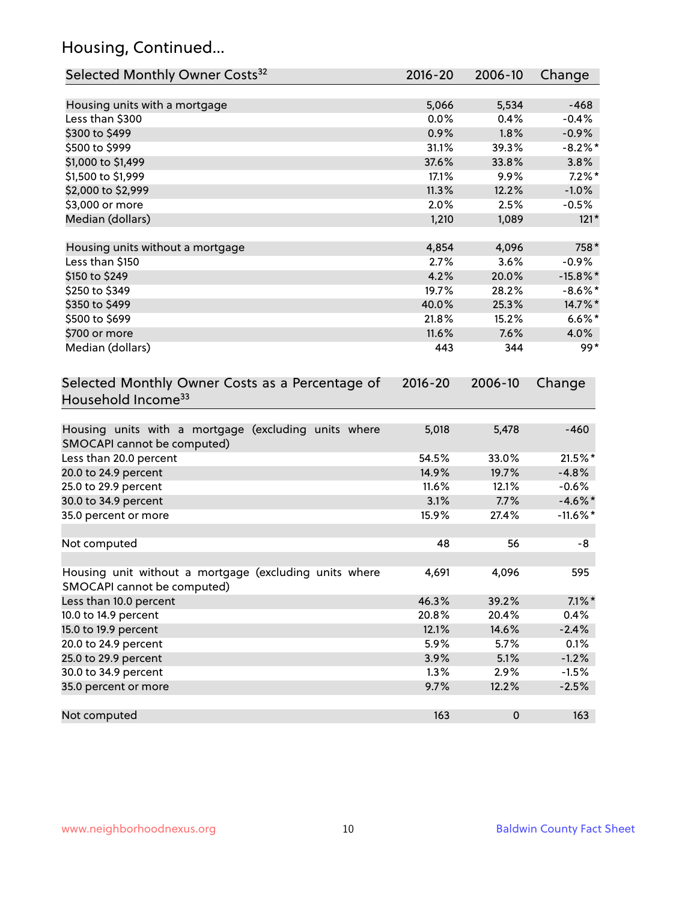## Housing, Continued...

| Selected Monthly Owner Costs <sup>32</sup>                                            | 2016-20 | 2006-10 | Change      |
|---------------------------------------------------------------------------------------|---------|---------|-------------|
| Housing units with a mortgage                                                         | 5,066   | 5,534   | $-468$      |
| Less than \$300                                                                       | 0.0%    | 0.4%    | $-0.4%$     |
| \$300 to \$499                                                                        | 0.9%    | 1.8%    | $-0.9%$     |
| \$500 to \$999                                                                        | 31.1%   | 39.3%   | $-8.2\%$ *  |
| \$1,000 to \$1,499                                                                    | 37.6%   | 33.8%   | 3.8%        |
| \$1,500 to \$1,999                                                                    | 17.1%   | 9.9%    | $7.2\%$ *   |
| \$2,000 to \$2,999                                                                    | 11.3%   | 12.2%   | $-1.0%$     |
| \$3,000 or more                                                                       | 2.0%    | 2.5%    | $-0.5%$     |
| Median (dollars)                                                                      | 1,210   | 1,089   | $121*$      |
| Housing units without a mortgage                                                      | 4,854   | 4,096   | 758*        |
| Less than \$150                                                                       | 2.7%    | 3.6%    | $-0.9%$     |
| \$150 to \$249                                                                        | 4.2%    | 20.0%   | $-15.8\%$ * |
| \$250 to \$349                                                                        | 19.7%   | 28.2%   | $-8.6\%$ *  |
| \$350 to \$499                                                                        | 40.0%   | 25.3%   | 14.7%*      |
| \$500 to \$699                                                                        | 21.8%   | 15.2%   | $6.6\%$ *   |
| \$700 or more                                                                         | 11.6%   | 7.6%    | 4.0%        |
| Median (dollars)                                                                      | 443     | 344     | $99*$       |
| Household Income <sup>33</sup>                                                        |         |         |             |
| Housing units with a mortgage (excluding units where<br>SMOCAPI cannot be computed)   | 5,018   | 5,478   | $-460$      |
| Less than 20.0 percent                                                                | 54.5%   | 33.0%   | 21.5%*      |
| 20.0 to 24.9 percent                                                                  | 14.9%   | 19.7%   | $-4.8%$     |
| 25.0 to 29.9 percent                                                                  | 11.6%   | 12.1%   | $-0.6%$     |
| 30.0 to 34.9 percent                                                                  | 3.1%    | 7.7%    | $-4.6\%$ *  |
| 35.0 percent or more                                                                  | 15.9%   | 27.4%   | $-11.6\%$ * |
| Not computed                                                                          | 48      | 56      | -8          |
| Housing unit without a mortgage (excluding units where<br>SMOCAPI cannot be computed) | 4,691   | 4,096   | 595         |
| Less than 10.0 percent                                                                | 46.3%   | 39.2%   | $7.1\%$ *   |
| 10.0 to 14.9 percent                                                                  | 20.8%   | 20.4%   | 0.4%        |
| 15.0 to 19.9 percent                                                                  | 12.1%   | 14.6%   | $-2.4%$     |
| 20.0 to 24.9 percent                                                                  | 5.9%    | 5.7%    | 0.1%        |
| 25.0 to 29.9 percent                                                                  | 3.9%    | 5.1%    | $-1.2%$     |
| 30.0 to 34.9 percent                                                                  | 1.3%    | 2.9%    | $-1.5%$     |
| 35.0 percent or more                                                                  | 9.7%    | 12.2%   | $-2.5%$     |
| Not computed                                                                          | 163     | 0       | 163         |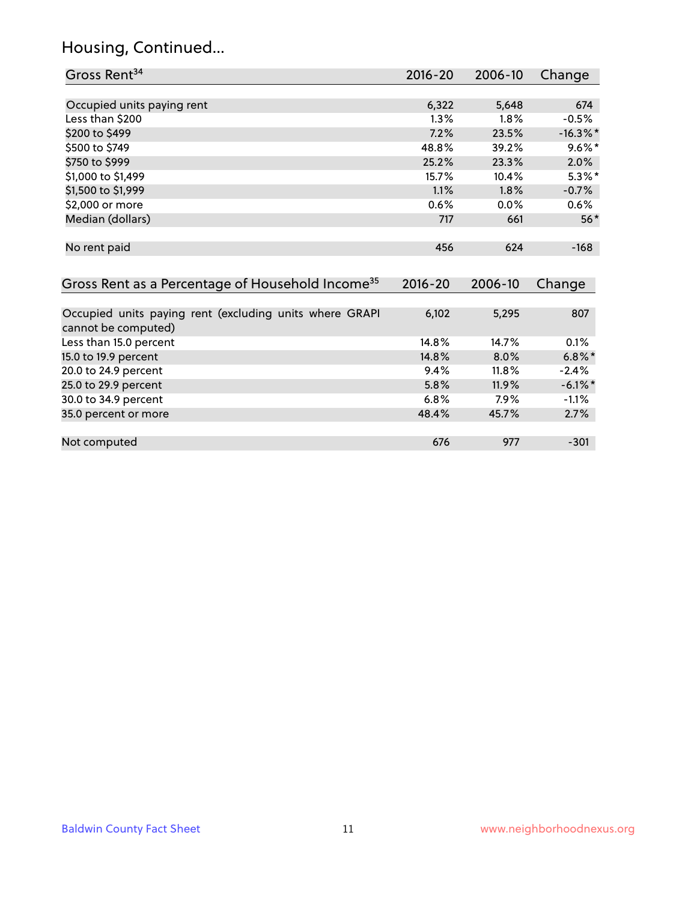## Housing, Continued...

| Gross Rent <sup>34</sup>                                                       | 2016-20     | 2006-10 | Change      |
|--------------------------------------------------------------------------------|-------------|---------|-------------|
|                                                                                |             |         |             |
| Occupied units paying rent                                                     | 6,322       | 5,648   | 674         |
| Less than \$200                                                                | 1.3%        | 1.8%    | $-0.5%$     |
| \$200 to \$499                                                                 | 7.2%        | 23.5%   | $-16.3\%$ * |
| \$500 to \$749                                                                 | 48.8%       | 39.2%   | $9.6\%$ *   |
| \$750 to \$999                                                                 | 25.2%       | 23.3%   | 2.0%        |
| \$1,000 to \$1,499                                                             | 15.7%       | 10.4%   | $5.3\%*$    |
| \$1,500 to \$1,999                                                             | 1.1%        | 1.8%    | $-0.7%$     |
| \$2,000 or more                                                                | 0.6%        | 0.0%    | 0.6%        |
| Median (dollars)                                                               | 717         | 661     | $56*$       |
| No rent paid                                                                   | 456         | 624     | $-168$      |
| Gross Rent as a Percentage of Household Income <sup>35</sup>                   | $2016 - 20$ | 2006-10 | Change      |
| Occupied units paying rent (excluding units where GRAPI<br>cannot be computed) | 6,102       | 5,295   | 807         |
| Less than 15.0 percent                                                         | 14.8%       | 14.7%   | 0.1%        |
| 15.0 to 19.9 percent                                                           | 14.8%       | 8.0%    | $6.8\%*$    |
| 20.0 to 24.9 percent                                                           | 9.4%        | 11.8%   | $-2.4%$     |
| 25.0 to 29.9 percent                                                           | 5.8%        | 11.9%   | $-6.1\%$ *  |
| 30.0 to 34.9 percent                                                           | 6.8%        | 7.9%    | $-1.1%$     |
| 35.0 percent or more                                                           | 48.4%       | 45.7%   | 2.7%        |
| Not computed                                                                   | 676         | 977     | $-301$      |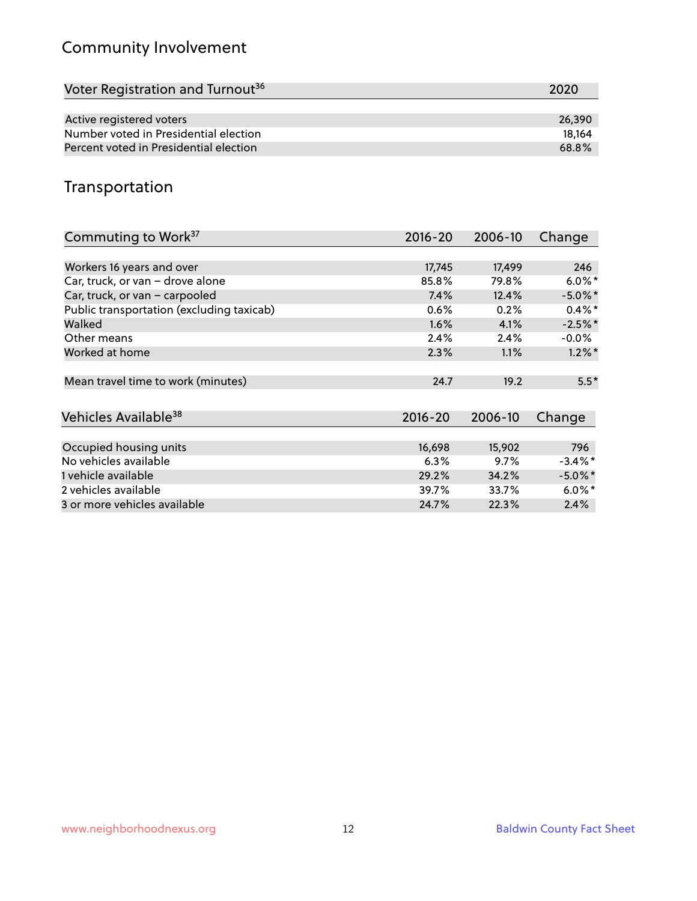## Community Involvement

| Voter Registration and Turnout <sup>36</sup> | 2020   |
|----------------------------------------------|--------|
|                                              |        |
| Active registered voters                     | 26.390 |
| Number voted in Presidential election        | 18.164 |
| Percent voted in Presidential election       | 68.8%  |

## Transportation

| Commuting to Work <sup>37</sup>           | 2016-20     | 2006-10 | Change     |
|-------------------------------------------|-------------|---------|------------|
|                                           |             |         |            |
| Workers 16 years and over                 | 17,745      | 17,499  | 246        |
| Car, truck, or van - drove alone          | 85.8%       | 79.8%   | $6.0\%$ *  |
| Car, truck, or van - carpooled            | 7.4%        | 12.4%   | $-5.0\%$ * |
| Public transportation (excluding taxicab) | 0.6%        | 0.2%    | $0.4\%$ *  |
| Walked                                    | 1.6%        | 4.1%    | $-2.5%$ *  |
| Other means                               | 2.4%        | 2.4%    | $-0.0\%$   |
| Worked at home                            | 2.3%        | 1.1%    | $1.2\%$ *  |
| Mean travel time to work (minutes)        | 24.7        | 19.2    | $5.5*$     |
| Vehicles Available <sup>38</sup>          | $2016 - 20$ | 2006-10 | Change     |
| Occupied housing units                    | 16,698      | 15,902  | 796        |
| No vehicles available                     | 6.3%        | 9.7%    | $-3.4\%$ * |
| 1 vehicle available                       | 29.2%       | 34.2%   | $-5.0\%$ * |
| 2 vehicles available                      | 39.7%       | 33.7%   | $6.0\%$ *  |
| 3 or more vehicles available              | 24.7%       | 22.3%   | 2.4%       |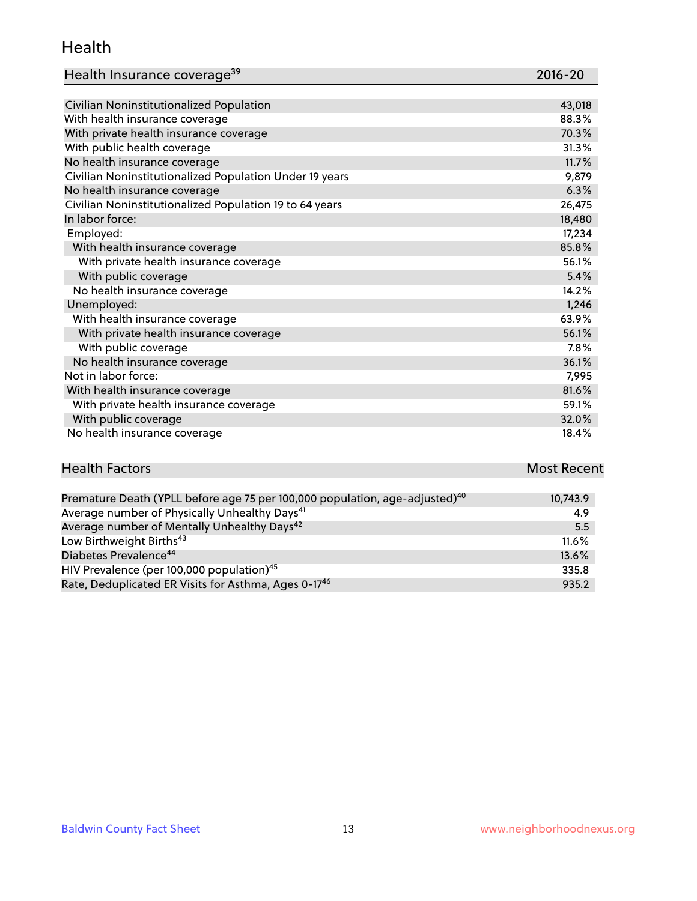#### Health

| Health Insurance coverage <sup>39</sup> | 2016-20 |
|-----------------------------------------|---------|
|-----------------------------------------|---------|

| Civilian Noninstitutionalized Population                | 43,018 |
|---------------------------------------------------------|--------|
| With health insurance coverage                          | 88.3%  |
| With private health insurance coverage                  | 70.3%  |
| With public health coverage                             | 31.3%  |
| No health insurance coverage                            | 11.7%  |
| Civilian Noninstitutionalized Population Under 19 years | 9,879  |
| No health insurance coverage                            | 6.3%   |
| Civilian Noninstitutionalized Population 19 to 64 years | 26,475 |
| In labor force:                                         | 18,480 |
| Employed:                                               | 17,234 |
| With health insurance coverage                          | 85.8%  |
| With private health insurance coverage                  | 56.1%  |
| With public coverage                                    | 5.4%   |
| No health insurance coverage                            | 14.2%  |
| Unemployed:                                             | 1,246  |
| With health insurance coverage                          | 63.9%  |
| With private health insurance coverage                  | 56.1%  |
| With public coverage                                    | 7.8%   |
| No health insurance coverage                            | 36.1%  |
| Not in labor force:                                     | 7,995  |
| With health insurance coverage                          | 81.6%  |
| With private health insurance coverage                  | 59.1%  |
| With public coverage                                    | 32.0%  |
| No health insurance coverage                            | 18.4%  |

# **Health Factors Most Recent** And The Control of the Control of The Control of The Control of The Control of The Control of The Control of The Control of The Control of The Control of The Control of The Control of The Contr

| Premature Death (YPLL before age 75 per 100,000 population, age-adjusted) <sup>40</sup> | 10,743.9 |
|-----------------------------------------------------------------------------------------|----------|
| Average number of Physically Unhealthy Days <sup>41</sup>                               | 4.9      |
| Average number of Mentally Unhealthy Days <sup>42</sup>                                 | 5.5      |
| Low Birthweight Births <sup>43</sup>                                                    | $11.6\%$ |
| Diabetes Prevalence <sup>44</sup>                                                       | 13.6%    |
| HIV Prevalence (per 100,000 population) <sup>45</sup>                                   | 335.8    |
| Rate, Deduplicated ER Visits for Asthma, Ages 0-17 <sup>46</sup>                        | 935.2    |